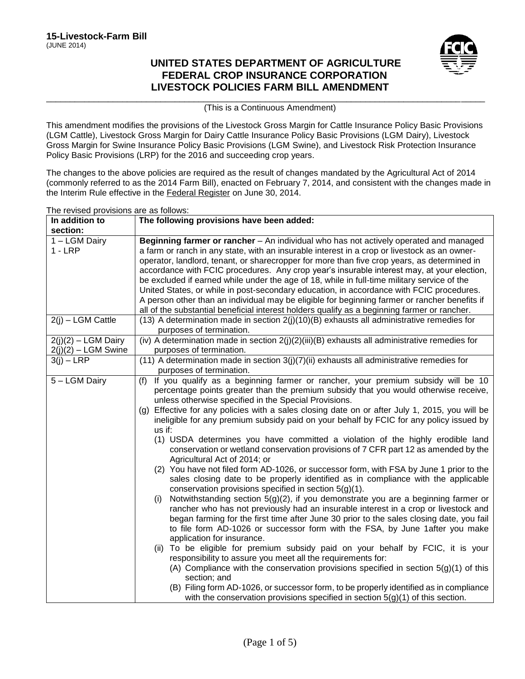# **UNITED STATES DEPARTMENT OF AGRICULTURE FEDERAL CROP INSURANCE CORPORATION LIVESTOCK POLICIES FARM BILL AMENDMENT**



\_\_\_\_\_\_\_\_\_\_\_\_\_\_\_\_\_\_\_\_\_\_\_\_\_\_\_\_\_\_\_\_\_\_\_\_\_\_\_\_\_\_\_\_\_\_\_\_\_\_\_\_\_\_\_\_\_\_\_\_\_\_\_\_\_\_\_\_\_\_\_\_\_\_\_\_\_\_\_\_\_\_\_\_\_\_\_\_\_\_\_\_ (This is a Continuous Amendment)

This amendment modifies the provisions of the Livestock Gross Margin for Cattle Insurance Policy Basic Provisions (LGM Cattle), Livestock Gross Margin for Dairy Cattle Insurance Policy Basic Provisions (LGM Dairy), Livestock Gross Margin for Swine Insurance Policy Basic Provisions (LGM Swine), and Livestock Risk Protection Insurance Policy Basic Provisions (LRP) for the 2016 and succeeding crop years.

The changes to the above policies are required as the result of changes mandated by the Agricultural Act of 2014 (commonly referred to as the 2014 Farm Bill), enacted on February 7, 2014, and consistent with the changes made in the Interim Rule effective in the Federal Register on June 30, 2014.

The revised provisions are as follows:

| In addition to                                  | The following provisions have been added:                                                                                                                                                                                                                                                                                                                                                                                                                                                                                                                                                                                                                                                                                                                                                                                                                                                                                                                                                                                                                                                                                                                                                                                                                                                                                                                                                                                                                                                                                                                                                                                                                                                                                                    |
|-------------------------------------------------|----------------------------------------------------------------------------------------------------------------------------------------------------------------------------------------------------------------------------------------------------------------------------------------------------------------------------------------------------------------------------------------------------------------------------------------------------------------------------------------------------------------------------------------------------------------------------------------------------------------------------------------------------------------------------------------------------------------------------------------------------------------------------------------------------------------------------------------------------------------------------------------------------------------------------------------------------------------------------------------------------------------------------------------------------------------------------------------------------------------------------------------------------------------------------------------------------------------------------------------------------------------------------------------------------------------------------------------------------------------------------------------------------------------------------------------------------------------------------------------------------------------------------------------------------------------------------------------------------------------------------------------------------------------------------------------------------------------------------------------------|
| section:                                        |                                                                                                                                                                                                                                                                                                                                                                                                                                                                                                                                                                                                                                                                                                                                                                                                                                                                                                                                                                                                                                                                                                                                                                                                                                                                                                                                                                                                                                                                                                                                                                                                                                                                                                                                              |
| 1 - LGM Dairy<br>$1 - LRP$<br>2(j) - LGM Cattle | Beginning farmer or rancher - An individual who has not actively operated and managed<br>a farm or ranch in any state, with an insurable interest in a crop or livestock as an owner-<br>operator, landlord, tenant, or sharecropper for more than five crop years, as determined in<br>accordance with FCIC procedures. Any crop year's insurable interest may, at your election,<br>be excluded if earned while under the age of 18, while in full-time military service of the<br>United States, or while in post-secondary education, in accordance with FCIC procedures.<br>A person other than an individual may be eligible for beginning farmer or rancher benefits if<br>all of the substantial beneficial interest holders qualify as a beginning farmer or rancher.                                                                                                                                                                                                                                                                                                                                                                                                                                                                                                                                                                                                                                                                                                                                                                                                                                                                                                                                                               |
|                                                 | $(13)$ A determination made in section $2(j)(10)(B)$ exhausts all administrative remedies for<br>purposes of termination.                                                                                                                                                                                                                                                                                                                                                                                                                                                                                                                                                                                                                                                                                                                                                                                                                                                                                                                                                                                                                                                                                                                                                                                                                                                                                                                                                                                                                                                                                                                                                                                                                    |
| $2(i)(2) - LGM$ Dairy<br>$2(j)(2) - LGM$ Swine  | (iv) A determination made in section $2(j)(2)(iii)(B)$ exhausts all administrative remedies for<br>purposes of termination.                                                                                                                                                                                                                                                                                                                                                                                                                                                                                                                                                                                                                                                                                                                                                                                                                                                                                                                                                                                                                                                                                                                                                                                                                                                                                                                                                                                                                                                                                                                                                                                                                  |
| $3(i) - LRP$                                    | $(11)$ A determination made in section $3(j)(7)(ii)$ exhausts all administrative remedies for<br>purposes of termination.                                                                                                                                                                                                                                                                                                                                                                                                                                                                                                                                                                                                                                                                                                                                                                                                                                                                                                                                                                                                                                                                                                                                                                                                                                                                                                                                                                                                                                                                                                                                                                                                                    |
| 5 - LGM Dairy                                   | If you qualify as a beginning farmer or rancher, your premium subsidy will be 10<br>(f)<br>percentage points greater than the premium subsidy that you would otherwise receive,<br>unless otherwise specified in the Special Provisions.<br>(g) Effective for any policies with a sales closing date on or after July 1, 2015, you will be<br>ineligible for any premium subsidy paid on your behalf by FCIC for any policy issued by<br>$us$ if:<br>(1) USDA determines you have committed a violation of the highly erodible land<br>conservation or wetland conservation provisions of 7 CFR part 12 as amended by the<br>Agricultural Act of 2014; or<br>(2) You have not filed form AD-1026, or successor form, with FSA by June 1 prior to the<br>sales closing date to be properly identified as in compliance with the applicable<br>conservation provisions specified in section 5(g)(1).<br>Notwithstanding section $5(g)(2)$ , if you demonstrate you are a beginning farmer or<br>(i)<br>rancher who has not previously had an insurable interest in a crop or livestock and<br>began farming for the first time after June 30 prior to the sales closing date, you fail<br>to file form AD-1026 or successor form with the FSA, by June 1after you make<br>application for insurance.<br>(ii) To be eligible for premium subsidy paid on your behalf by FCIC, it is your<br>responsibility to assure you meet all the requirements for:<br>(A) Compliance with the conservation provisions specified in section $5(g)(1)$ of this<br>section; and<br>(B) Filing form AD-1026, or successor form, to be properly identified as in compliance<br>with the conservation provisions specified in section $5(g)(1)$ of this section. |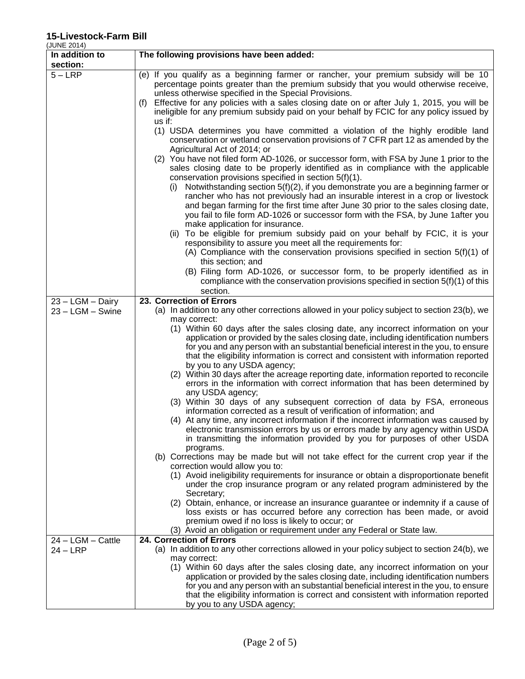|             | -------- |  |  |
|-------------|----------|--|--|
| (JUNE 2014) |          |  |  |

| JUNE ZUT4)                         |                                                                                                                                                                                                                                                                   |
|------------------------------------|-------------------------------------------------------------------------------------------------------------------------------------------------------------------------------------------------------------------------------------------------------------------|
| In addition to<br>section:         | The following provisions have been added:                                                                                                                                                                                                                         |
| $5 - LRP$                          |                                                                                                                                                                                                                                                                   |
|                                    | (e) If you qualify as a beginning farmer or rancher, your premium subsidy will be 10<br>percentage points greater than the premium subsidy that you would otherwise receive,<br>unless otherwise specified in the Special Provisions.                             |
|                                    | Effective for any policies with a sales closing date on or after July 1, 2015, you will be<br>(f)<br>ineligible for any premium subsidy paid on your behalf by FCIC for any policy issued by                                                                      |
|                                    | us if:                                                                                                                                                                                                                                                            |
|                                    | (1) USDA determines you have committed a violation of the highly erodible land<br>conservation or wetland conservation provisions of 7 CFR part 12 as amended by the<br>Agricultural Act of 2014; or                                                              |
|                                    | (2) You have not filed form AD-1026, or successor form, with FSA by June 1 prior to the<br>sales closing date to be properly identified as in compliance with the applicable<br>conservation provisions specified in section 5(f)(1).                             |
|                                    | Notwithstanding section $5(f)(2)$ , if you demonstrate you are a beginning farmer or<br>(1)<br>rancher who has not previously had an insurable interest in a crop or livestock                                                                                    |
|                                    | and began farming for the first time after June 30 prior to the sales closing date,<br>you fail to file form AD-1026 or successor form with the FSA, by June 1after you<br>make application for insurance.                                                        |
|                                    | (ii) To be eligible for premium subsidy paid on your behalf by FCIC, it is your<br>responsibility to assure you meet all the requirements for:                                                                                                                    |
|                                    | (A) Compliance with the conservation provisions specified in section $5(f)(1)$ of<br>this section; and                                                                                                                                                            |
|                                    | (B) Filing form AD-1026, or successor form, to be properly identified as in<br>compliance with the conservation provisions specified in section $5(f)(1)$ of this                                                                                                 |
|                                    | section.                                                                                                                                                                                                                                                          |
| 23 - LGM - Dairy                   | 23. Correction of Errors                                                                                                                                                                                                                                          |
| $23 - LGM - Swine$                 | (a) In addition to any other corrections allowed in your policy subject to section 23(b), we<br>may correct:                                                                                                                                                      |
|                                    | (1) Within 60 days after the sales closing date, any incorrect information on your<br>application or provided by the sales closing date, including identification numbers                                                                                         |
|                                    | for you and any person with an substantial beneficial interest in the you, to ensure<br>that the eligibility information is correct and consistent with information reported                                                                                      |
|                                    | by you to any USDA agency;                                                                                                                                                                                                                                        |
|                                    | (2) Within 30 days after the acreage reporting date, information reported to reconcile<br>errors in the information with correct information that has been determined by<br>any USDA agency;                                                                      |
|                                    | (3) Within 30 days of any subsequent correction of data by FSA, erroneous<br>information corrected as a result of verification of information; and                                                                                                                |
|                                    | (4) At any time, any incorrect information if the incorrect information was caused by<br>electronic transmission errors by us or errors made by any agency within USDA                                                                                            |
|                                    | in transmitting the information provided by you for purposes of other USDA<br>programs.                                                                                                                                                                           |
|                                    | (b) Corrections may be made but will not take effect for the current crop year if the<br>correction would allow you to:                                                                                                                                           |
|                                    | (1) Avoid ineligibility requirements for insurance or obtain a disproportionate benefit<br>under the crop insurance program or any related program administered by the                                                                                            |
|                                    | Secretary;<br>(2) Obtain, enhance, or increase an insurance guarantee or indemnity if a cause of                                                                                                                                                                  |
|                                    | loss exists or has occurred before any correction has been made, or avoid<br>premium owed if no loss is likely to occur; or                                                                                                                                       |
|                                    | (3) Avoid an obligation or requirement under any Federal or State law.                                                                                                                                                                                            |
| $24 - LGM - C$ attle<br>$24 - LRP$ | 24. Correction of Errors<br>(a) In addition to any other corrections allowed in your policy subject to section 24(b), we                                                                                                                                          |
|                                    | may correct:                                                                                                                                                                                                                                                      |
|                                    | (1) Within 60 days after the sales closing date, any incorrect information on your<br>application or provided by the sales closing date, including identification numbers<br>for you and any person with an substantial beneficial interest in the you, to ensure |
|                                    | that the eligibility information is correct and consistent with information reported                                                                                                                                                                              |
|                                    | by you to any USDA agency;                                                                                                                                                                                                                                        |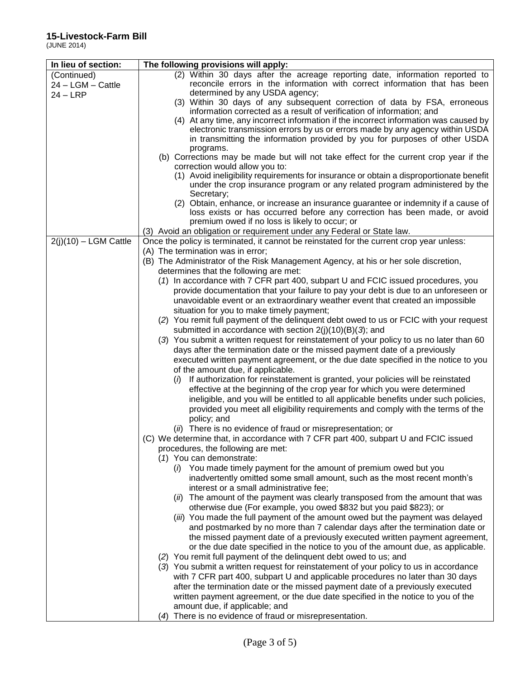(JUNE 2014)

| In lieu of section:<br>The following provisions will apply:<br>(2) Within 30 days after the acreage reporting date, information reported to<br>(Continued)<br>reconcile errors in the information with correct information that has been<br>24 - LGM - Cattle<br>determined by any USDA agency;<br>$24 - LRP$<br>(3) Within 30 days of any subsequent correction of data by FSA, erroneous<br>information corrected as a result of verification of information; and<br>(4) At any time, any incorrect information if the incorrect information was caused by<br>electronic transmission errors by us or errors made by any agency within USDA<br>in transmitting the information provided by you for purposes of other USDA<br>programs.<br>(b) Corrections may be made but will not take effect for the current crop year if the<br>correction would allow you to:<br>(1) Avoid ineligibility requirements for insurance or obtain a disproportionate benefit<br>under the crop insurance program or any related program administered by the<br>Secretary;<br>(2) Obtain, enhance, or increase an insurance guarantee or indemnity if a cause of<br>loss exists or has occurred before any correction has been made, or avoid<br>premium owed if no loss is likely to occur; or<br>(3) Avoid an obligation or requirement under any Federal or State law.<br>$2(i)(10) - LGM$ Cattle<br>Once the policy is terminated, it cannot be reinstated for the current crop year unless:<br>(A) The termination was in error;<br>(B) The Administrator of the Risk Management Agency, at his or her sole discretion,<br>determines that the following are met:<br>(1) In accordance with 7 CFR part 400, subpart U and FCIC issued procedures, you<br>provide documentation that your failure to pay your debt is due to an unforeseen or<br>unavoidable event or an extraordinary weather event that created an impossible<br>situation for you to make timely payment;<br>(2) You remit full payment of the delinguent debt owed to us or FCIC with your request<br>submitted in accordance with section $2(j)(10)(B)(3)$ ; and<br>(3) You submit a written request for reinstatement of your policy to us no later than 60<br>days after the termination date or the missed payment date of a previously |
|------------------------------------------------------------------------------------------------------------------------------------------------------------------------------------------------------------------------------------------------------------------------------------------------------------------------------------------------------------------------------------------------------------------------------------------------------------------------------------------------------------------------------------------------------------------------------------------------------------------------------------------------------------------------------------------------------------------------------------------------------------------------------------------------------------------------------------------------------------------------------------------------------------------------------------------------------------------------------------------------------------------------------------------------------------------------------------------------------------------------------------------------------------------------------------------------------------------------------------------------------------------------------------------------------------------------------------------------------------------------------------------------------------------------------------------------------------------------------------------------------------------------------------------------------------------------------------------------------------------------------------------------------------------------------------------------------------------------------------------------------------------------------------------------------------------------------------------------------------------------------------------------------------------------------------------------------------------------------------------------------------------------------------------------------------------------------------------------------------------------------------------------------------------------------------------------------------------------------------------------------------------------------------------------------|
|                                                                                                                                                                                                                                                                                                                                                                                                                                                                                                                                                                                                                                                                                                                                                                                                                                                                                                                                                                                                                                                                                                                                                                                                                                                                                                                                                                                                                                                                                                                                                                                                                                                                                                                                                                                                                                                                                                                                                                                                                                                                                                                                                                                                                                                                                                      |
|                                                                                                                                                                                                                                                                                                                                                                                                                                                                                                                                                                                                                                                                                                                                                                                                                                                                                                                                                                                                                                                                                                                                                                                                                                                                                                                                                                                                                                                                                                                                                                                                                                                                                                                                                                                                                                                                                                                                                                                                                                                                                                                                                                                                                                                                                                      |
|                                                                                                                                                                                                                                                                                                                                                                                                                                                                                                                                                                                                                                                                                                                                                                                                                                                                                                                                                                                                                                                                                                                                                                                                                                                                                                                                                                                                                                                                                                                                                                                                                                                                                                                                                                                                                                                                                                                                                                                                                                                                                                                                                                                                                                                                                                      |
|                                                                                                                                                                                                                                                                                                                                                                                                                                                                                                                                                                                                                                                                                                                                                                                                                                                                                                                                                                                                                                                                                                                                                                                                                                                                                                                                                                                                                                                                                                                                                                                                                                                                                                                                                                                                                                                                                                                                                                                                                                                                                                                                                                                                                                                                                                      |
|                                                                                                                                                                                                                                                                                                                                                                                                                                                                                                                                                                                                                                                                                                                                                                                                                                                                                                                                                                                                                                                                                                                                                                                                                                                                                                                                                                                                                                                                                                                                                                                                                                                                                                                                                                                                                                                                                                                                                                                                                                                                                                                                                                                                                                                                                                      |
|                                                                                                                                                                                                                                                                                                                                                                                                                                                                                                                                                                                                                                                                                                                                                                                                                                                                                                                                                                                                                                                                                                                                                                                                                                                                                                                                                                                                                                                                                                                                                                                                                                                                                                                                                                                                                                                                                                                                                                                                                                                                                                                                                                                                                                                                                                      |
|                                                                                                                                                                                                                                                                                                                                                                                                                                                                                                                                                                                                                                                                                                                                                                                                                                                                                                                                                                                                                                                                                                                                                                                                                                                                                                                                                                                                                                                                                                                                                                                                                                                                                                                                                                                                                                                                                                                                                                                                                                                                                                                                                                                                                                                                                                      |
|                                                                                                                                                                                                                                                                                                                                                                                                                                                                                                                                                                                                                                                                                                                                                                                                                                                                                                                                                                                                                                                                                                                                                                                                                                                                                                                                                                                                                                                                                                                                                                                                                                                                                                                                                                                                                                                                                                                                                                                                                                                                                                                                                                                                                                                                                                      |
|                                                                                                                                                                                                                                                                                                                                                                                                                                                                                                                                                                                                                                                                                                                                                                                                                                                                                                                                                                                                                                                                                                                                                                                                                                                                                                                                                                                                                                                                                                                                                                                                                                                                                                                                                                                                                                                                                                                                                                                                                                                                                                                                                                                                                                                                                                      |
|                                                                                                                                                                                                                                                                                                                                                                                                                                                                                                                                                                                                                                                                                                                                                                                                                                                                                                                                                                                                                                                                                                                                                                                                                                                                                                                                                                                                                                                                                                                                                                                                                                                                                                                                                                                                                                                                                                                                                                                                                                                                                                                                                                                                                                                                                                      |
|                                                                                                                                                                                                                                                                                                                                                                                                                                                                                                                                                                                                                                                                                                                                                                                                                                                                                                                                                                                                                                                                                                                                                                                                                                                                                                                                                                                                                                                                                                                                                                                                                                                                                                                                                                                                                                                                                                                                                                                                                                                                                                                                                                                                                                                                                                      |
|                                                                                                                                                                                                                                                                                                                                                                                                                                                                                                                                                                                                                                                                                                                                                                                                                                                                                                                                                                                                                                                                                                                                                                                                                                                                                                                                                                                                                                                                                                                                                                                                                                                                                                                                                                                                                                                                                                                                                                                                                                                                                                                                                                                                                                                                                                      |
|                                                                                                                                                                                                                                                                                                                                                                                                                                                                                                                                                                                                                                                                                                                                                                                                                                                                                                                                                                                                                                                                                                                                                                                                                                                                                                                                                                                                                                                                                                                                                                                                                                                                                                                                                                                                                                                                                                                                                                                                                                                                                                                                                                                                                                                                                                      |
|                                                                                                                                                                                                                                                                                                                                                                                                                                                                                                                                                                                                                                                                                                                                                                                                                                                                                                                                                                                                                                                                                                                                                                                                                                                                                                                                                                                                                                                                                                                                                                                                                                                                                                                                                                                                                                                                                                                                                                                                                                                                                                                                                                                                                                                                                                      |
|                                                                                                                                                                                                                                                                                                                                                                                                                                                                                                                                                                                                                                                                                                                                                                                                                                                                                                                                                                                                                                                                                                                                                                                                                                                                                                                                                                                                                                                                                                                                                                                                                                                                                                                                                                                                                                                                                                                                                                                                                                                                                                                                                                                                                                                                                                      |
|                                                                                                                                                                                                                                                                                                                                                                                                                                                                                                                                                                                                                                                                                                                                                                                                                                                                                                                                                                                                                                                                                                                                                                                                                                                                                                                                                                                                                                                                                                                                                                                                                                                                                                                                                                                                                                                                                                                                                                                                                                                                                                                                                                                                                                                                                                      |
|                                                                                                                                                                                                                                                                                                                                                                                                                                                                                                                                                                                                                                                                                                                                                                                                                                                                                                                                                                                                                                                                                                                                                                                                                                                                                                                                                                                                                                                                                                                                                                                                                                                                                                                                                                                                                                                                                                                                                                                                                                                                                                                                                                                                                                                                                                      |
|                                                                                                                                                                                                                                                                                                                                                                                                                                                                                                                                                                                                                                                                                                                                                                                                                                                                                                                                                                                                                                                                                                                                                                                                                                                                                                                                                                                                                                                                                                                                                                                                                                                                                                                                                                                                                                                                                                                                                                                                                                                                                                                                                                                                                                                                                                      |
|                                                                                                                                                                                                                                                                                                                                                                                                                                                                                                                                                                                                                                                                                                                                                                                                                                                                                                                                                                                                                                                                                                                                                                                                                                                                                                                                                                                                                                                                                                                                                                                                                                                                                                                                                                                                                                                                                                                                                                                                                                                                                                                                                                                                                                                                                                      |
|                                                                                                                                                                                                                                                                                                                                                                                                                                                                                                                                                                                                                                                                                                                                                                                                                                                                                                                                                                                                                                                                                                                                                                                                                                                                                                                                                                                                                                                                                                                                                                                                                                                                                                                                                                                                                                                                                                                                                                                                                                                                                                                                                                                                                                                                                                      |
|                                                                                                                                                                                                                                                                                                                                                                                                                                                                                                                                                                                                                                                                                                                                                                                                                                                                                                                                                                                                                                                                                                                                                                                                                                                                                                                                                                                                                                                                                                                                                                                                                                                                                                                                                                                                                                                                                                                                                                                                                                                                                                                                                                                                                                                                                                      |
|                                                                                                                                                                                                                                                                                                                                                                                                                                                                                                                                                                                                                                                                                                                                                                                                                                                                                                                                                                                                                                                                                                                                                                                                                                                                                                                                                                                                                                                                                                                                                                                                                                                                                                                                                                                                                                                                                                                                                                                                                                                                                                                                                                                                                                                                                                      |
|                                                                                                                                                                                                                                                                                                                                                                                                                                                                                                                                                                                                                                                                                                                                                                                                                                                                                                                                                                                                                                                                                                                                                                                                                                                                                                                                                                                                                                                                                                                                                                                                                                                                                                                                                                                                                                                                                                                                                                                                                                                                                                                                                                                                                                                                                                      |
|                                                                                                                                                                                                                                                                                                                                                                                                                                                                                                                                                                                                                                                                                                                                                                                                                                                                                                                                                                                                                                                                                                                                                                                                                                                                                                                                                                                                                                                                                                                                                                                                                                                                                                                                                                                                                                                                                                                                                                                                                                                                                                                                                                                                                                                                                                      |
|                                                                                                                                                                                                                                                                                                                                                                                                                                                                                                                                                                                                                                                                                                                                                                                                                                                                                                                                                                                                                                                                                                                                                                                                                                                                                                                                                                                                                                                                                                                                                                                                                                                                                                                                                                                                                                                                                                                                                                                                                                                                                                                                                                                                                                                                                                      |
|                                                                                                                                                                                                                                                                                                                                                                                                                                                                                                                                                                                                                                                                                                                                                                                                                                                                                                                                                                                                                                                                                                                                                                                                                                                                                                                                                                                                                                                                                                                                                                                                                                                                                                                                                                                                                                                                                                                                                                                                                                                                                                                                                                                                                                                                                                      |
|                                                                                                                                                                                                                                                                                                                                                                                                                                                                                                                                                                                                                                                                                                                                                                                                                                                                                                                                                                                                                                                                                                                                                                                                                                                                                                                                                                                                                                                                                                                                                                                                                                                                                                                                                                                                                                                                                                                                                                                                                                                                                                                                                                                                                                                                                                      |
|                                                                                                                                                                                                                                                                                                                                                                                                                                                                                                                                                                                                                                                                                                                                                                                                                                                                                                                                                                                                                                                                                                                                                                                                                                                                                                                                                                                                                                                                                                                                                                                                                                                                                                                                                                                                                                                                                                                                                                                                                                                                                                                                                                                                                                                                                                      |
|                                                                                                                                                                                                                                                                                                                                                                                                                                                                                                                                                                                                                                                                                                                                                                                                                                                                                                                                                                                                                                                                                                                                                                                                                                                                                                                                                                                                                                                                                                                                                                                                                                                                                                                                                                                                                                                                                                                                                                                                                                                                                                                                                                                                                                                                                                      |
| executed written payment agreement, or the due date specified in the notice to you                                                                                                                                                                                                                                                                                                                                                                                                                                                                                                                                                                                                                                                                                                                                                                                                                                                                                                                                                                                                                                                                                                                                                                                                                                                                                                                                                                                                                                                                                                                                                                                                                                                                                                                                                                                                                                                                                                                                                                                                                                                                                                                                                                                                                   |
| of the amount due, if applicable.                                                                                                                                                                                                                                                                                                                                                                                                                                                                                                                                                                                                                                                                                                                                                                                                                                                                                                                                                                                                                                                                                                                                                                                                                                                                                                                                                                                                                                                                                                                                                                                                                                                                                                                                                                                                                                                                                                                                                                                                                                                                                                                                                                                                                                                                    |
| If authorization for reinstatement is granted, your policies will be reinstated<br>$(\iota)$                                                                                                                                                                                                                                                                                                                                                                                                                                                                                                                                                                                                                                                                                                                                                                                                                                                                                                                                                                                                                                                                                                                                                                                                                                                                                                                                                                                                                                                                                                                                                                                                                                                                                                                                                                                                                                                                                                                                                                                                                                                                                                                                                                                                         |
| effective at the beginning of the crop year for which you were determined                                                                                                                                                                                                                                                                                                                                                                                                                                                                                                                                                                                                                                                                                                                                                                                                                                                                                                                                                                                                                                                                                                                                                                                                                                                                                                                                                                                                                                                                                                                                                                                                                                                                                                                                                                                                                                                                                                                                                                                                                                                                                                                                                                                                                            |
| ineligible, and you will be entitled to all applicable benefits under such policies,                                                                                                                                                                                                                                                                                                                                                                                                                                                                                                                                                                                                                                                                                                                                                                                                                                                                                                                                                                                                                                                                                                                                                                                                                                                                                                                                                                                                                                                                                                                                                                                                                                                                                                                                                                                                                                                                                                                                                                                                                                                                                                                                                                                                                 |
| provided you meet all eligibility requirements and comply with the terms of the                                                                                                                                                                                                                                                                                                                                                                                                                                                                                                                                                                                                                                                                                                                                                                                                                                                                                                                                                                                                                                                                                                                                                                                                                                                                                                                                                                                                                                                                                                                                                                                                                                                                                                                                                                                                                                                                                                                                                                                                                                                                                                                                                                                                                      |
| policy; and                                                                                                                                                                                                                                                                                                                                                                                                                                                                                                                                                                                                                                                                                                                                                                                                                                                                                                                                                                                                                                                                                                                                                                                                                                                                                                                                                                                                                                                                                                                                                                                                                                                                                                                                                                                                                                                                                                                                                                                                                                                                                                                                                                                                                                                                                          |
| (ii) There is no evidence of fraud or misrepresentation; or                                                                                                                                                                                                                                                                                                                                                                                                                                                                                                                                                                                                                                                                                                                                                                                                                                                                                                                                                                                                                                                                                                                                                                                                                                                                                                                                                                                                                                                                                                                                                                                                                                                                                                                                                                                                                                                                                                                                                                                                                                                                                                                                                                                                                                          |
| (C) We determine that, in accordance with 7 CFR part 400, subpart U and FCIC issued                                                                                                                                                                                                                                                                                                                                                                                                                                                                                                                                                                                                                                                                                                                                                                                                                                                                                                                                                                                                                                                                                                                                                                                                                                                                                                                                                                                                                                                                                                                                                                                                                                                                                                                                                                                                                                                                                                                                                                                                                                                                                                                                                                                                                  |
| procedures, the following are met:                                                                                                                                                                                                                                                                                                                                                                                                                                                                                                                                                                                                                                                                                                                                                                                                                                                                                                                                                                                                                                                                                                                                                                                                                                                                                                                                                                                                                                                                                                                                                                                                                                                                                                                                                                                                                                                                                                                                                                                                                                                                                                                                                                                                                                                                   |
| (1) You can demonstrate:                                                                                                                                                                                                                                                                                                                                                                                                                                                                                                                                                                                                                                                                                                                                                                                                                                                                                                                                                                                                                                                                                                                                                                                                                                                                                                                                                                                                                                                                                                                                                                                                                                                                                                                                                                                                                                                                                                                                                                                                                                                                                                                                                                                                                                                                             |
| (i) You made timely payment for the amount of premium owed but you                                                                                                                                                                                                                                                                                                                                                                                                                                                                                                                                                                                                                                                                                                                                                                                                                                                                                                                                                                                                                                                                                                                                                                                                                                                                                                                                                                                                                                                                                                                                                                                                                                                                                                                                                                                                                                                                                                                                                                                                                                                                                                                                                                                                                                   |
| inadvertently omitted some small amount, such as the most recent month's                                                                                                                                                                                                                                                                                                                                                                                                                                                                                                                                                                                                                                                                                                                                                                                                                                                                                                                                                                                                                                                                                                                                                                                                                                                                                                                                                                                                                                                                                                                                                                                                                                                                                                                                                                                                                                                                                                                                                                                                                                                                                                                                                                                                                             |
| interest or a small administrative fee;                                                                                                                                                                                                                                                                                                                                                                                                                                                                                                                                                                                                                                                                                                                                                                                                                                                                                                                                                                                                                                                                                                                                                                                                                                                                                                                                                                                                                                                                                                                                                                                                                                                                                                                                                                                                                                                                                                                                                                                                                                                                                                                                                                                                                                                              |
| (ii) The amount of the payment was clearly transposed from the amount that was                                                                                                                                                                                                                                                                                                                                                                                                                                                                                                                                                                                                                                                                                                                                                                                                                                                                                                                                                                                                                                                                                                                                                                                                                                                                                                                                                                                                                                                                                                                                                                                                                                                                                                                                                                                                                                                                                                                                                                                                                                                                                                                                                                                                                       |
| otherwise due (For example, you owed \$832 but you paid \$823); or                                                                                                                                                                                                                                                                                                                                                                                                                                                                                                                                                                                                                                                                                                                                                                                                                                                                                                                                                                                                                                                                                                                                                                                                                                                                                                                                                                                                                                                                                                                                                                                                                                                                                                                                                                                                                                                                                                                                                                                                                                                                                                                                                                                                                                   |
| (iii) You made the full payment of the amount owed but the payment was delayed                                                                                                                                                                                                                                                                                                                                                                                                                                                                                                                                                                                                                                                                                                                                                                                                                                                                                                                                                                                                                                                                                                                                                                                                                                                                                                                                                                                                                                                                                                                                                                                                                                                                                                                                                                                                                                                                                                                                                                                                                                                                                                                                                                                                                       |
| and postmarked by no more than 7 calendar days after the termination date or                                                                                                                                                                                                                                                                                                                                                                                                                                                                                                                                                                                                                                                                                                                                                                                                                                                                                                                                                                                                                                                                                                                                                                                                                                                                                                                                                                                                                                                                                                                                                                                                                                                                                                                                                                                                                                                                                                                                                                                                                                                                                                                                                                                                                         |
| the missed payment date of a previously executed written payment agreement,                                                                                                                                                                                                                                                                                                                                                                                                                                                                                                                                                                                                                                                                                                                                                                                                                                                                                                                                                                                                                                                                                                                                                                                                                                                                                                                                                                                                                                                                                                                                                                                                                                                                                                                                                                                                                                                                                                                                                                                                                                                                                                                                                                                                                          |
| or the due date specified in the notice to you of the amount due, as applicable.                                                                                                                                                                                                                                                                                                                                                                                                                                                                                                                                                                                                                                                                                                                                                                                                                                                                                                                                                                                                                                                                                                                                                                                                                                                                                                                                                                                                                                                                                                                                                                                                                                                                                                                                                                                                                                                                                                                                                                                                                                                                                                                                                                                                                     |
| (2) You remit full payment of the delinquent debt owed to us; and                                                                                                                                                                                                                                                                                                                                                                                                                                                                                                                                                                                                                                                                                                                                                                                                                                                                                                                                                                                                                                                                                                                                                                                                                                                                                                                                                                                                                                                                                                                                                                                                                                                                                                                                                                                                                                                                                                                                                                                                                                                                                                                                                                                                                                    |
| (3) You submit a written request for reinstatement of your policy to us in accordance                                                                                                                                                                                                                                                                                                                                                                                                                                                                                                                                                                                                                                                                                                                                                                                                                                                                                                                                                                                                                                                                                                                                                                                                                                                                                                                                                                                                                                                                                                                                                                                                                                                                                                                                                                                                                                                                                                                                                                                                                                                                                                                                                                                                                |
| with 7 CFR part 400, subpart U and applicable procedures no later than 30 days                                                                                                                                                                                                                                                                                                                                                                                                                                                                                                                                                                                                                                                                                                                                                                                                                                                                                                                                                                                                                                                                                                                                                                                                                                                                                                                                                                                                                                                                                                                                                                                                                                                                                                                                                                                                                                                                                                                                                                                                                                                                                                                                                                                                                       |
| after the termination date or the missed payment date of a previously executed                                                                                                                                                                                                                                                                                                                                                                                                                                                                                                                                                                                                                                                                                                                                                                                                                                                                                                                                                                                                                                                                                                                                                                                                                                                                                                                                                                                                                                                                                                                                                                                                                                                                                                                                                                                                                                                                                                                                                                                                                                                                                                                                                                                                                       |
| written payment agreement, or the due date specified in the notice to you of the                                                                                                                                                                                                                                                                                                                                                                                                                                                                                                                                                                                                                                                                                                                                                                                                                                                                                                                                                                                                                                                                                                                                                                                                                                                                                                                                                                                                                                                                                                                                                                                                                                                                                                                                                                                                                                                                                                                                                                                                                                                                                                                                                                                                                     |
|                                                                                                                                                                                                                                                                                                                                                                                                                                                                                                                                                                                                                                                                                                                                                                                                                                                                                                                                                                                                                                                                                                                                                                                                                                                                                                                                                                                                                                                                                                                                                                                                                                                                                                                                                                                                                                                                                                                                                                                                                                                                                                                                                                                                                                                                                                      |
| amount due, if applicable; and                                                                                                                                                                                                                                                                                                                                                                                                                                                                                                                                                                                                                                                                                                                                                                                                                                                                                                                                                                                                                                                                                                                                                                                                                                                                                                                                                                                                                                                                                                                                                                                                                                                                                                                                                                                                                                                                                                                                                                                                                                                                                                                                                                                                                                                                       |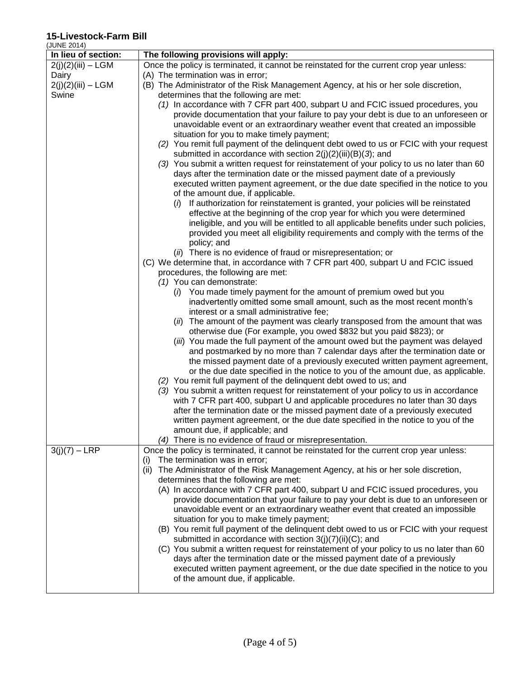(JUNE 2014)

| (JUNE 2014)          |                                                                                                                                                      |
|----------------------|------------------------------------------------------------------------------------------------------------------------------------------------------|
| In lieu of section:  | The following provisions will apply:                                                                                                                 |
| $2(j)(2)(iii) - LGM$ | Once the policy is terminated, it cannot be reinstated for the current crop year unless:                                                             |
| Dairy                | (A) The termination was in error;                                                                                                                    |
| $2(j)(2)(iii) - LGM$ | (B) The Administrator of the Risk Management Agency, at his or her sole discretion,                                                                  |
| Swine                | determines that the following are met:                                                                                                               |
|                      | (1) In accordance with 7 CFR part 400, subpart U and FCIC issued procedures, you                                                                     |
|                      | provide documentation that your failure to pay your debt is due to an unforeseen or                                                                  |
|                      | unavoidable event or an extraordinary weather event that created an impossible                                                                       |
|                      | situation for you to make timely payment;                                                                                                            |
|                      | (2) You remit full payment of the delinquent debt owed to us or FCIC with your request                                                               |
|                      | submitted in accordance with section $2(j)(2)(iii)(B)(3)$ ; and                                                                                      |
|                      | (3) You submit a written request for reinstatement of your policy to us no later than 60                                                             |
|                      | days after the termination date or the missed payment date of a previously                                                                           |
|                      | executed written payment agreement, or the due date specified in the notice to you                                                                   |
|                      | of the amount due, if applicable.                                                                                                                    |
|                      | If authorization for reinstatement is granted, your policies will be reinstated                                                                      |
|                      | effective at the beginning of the crop year for which you were determined                                                                            |
|                      | ineligible, and you will be entitled to all applicable benefits under such policies,                                                                 |
|                      | provided you meet all eligibility requirements and comply with the terms of the                                                                      |
|                      | policy; and                                                                                                                                          |
|                      | (ii) There is no evidence of fraud or misrepresentation; or                                                                                          |
|                      | (C) We determine that, in accordance with 7 CFR part 400, subpart U and FCIC issued                                                                  |
|                      | procedures, the following are met:                                                                                                                   |
|                      | (1) You can demonstrate:                                                                                                                             |
|                      | (i) You made timely payment for the amount of premium owed but you                                                                                   |
|                      | inadvertently omitted some small amount, such as the most recent month's                                                                             |
|                      | interest or a small administrative fee;                                                                                                              |
|                      | (ii) The amount of the payment was clearly transposed from the amount that was<br>otherwise due (For example, you owed \$832 but you paid \$823); or |
|                      | (iii) You made the full payment of the amount owed but the payment was delayed                                                                       |
|                      | and postmarked by no more than 7 calendar days after the termination date or                                                                         |
|                      | the missed payment date of a previously executed written payment agreement,                                                                          |
|                      | or the due date specified in the notice to you of the amount due, as applicable.                                                                     |
|                      | (2) You remit full payment of the delinquent debt owed to us; and                                                                                    |
|                      | (3) You submit a written request for reinstatement of your policy to us in accordance                                                                |
|                      | with 7 CFR part 400, subpart U and applicable procedures no later than 30 days                                                                       |
|                      | after the termination date or the missed payment date of a previously executed                                                                       |
|                      | written payment agreement, or the due date specified in the notice to you of the                                                                     |
|                      | amount due, if applicable; and                                                                                                                       |
|                      | (4) There is no evidence of fraud or misrepresentation.                                                                                              |
| $3(j)(7) - LRP$      | Once the policy is terminated, it cannot be reinstated for the current crop year unless:                                                             |
|                      | The termination was in error;<br>(i)                                                                                                                 |
|                      | The Administrator of the Risk Management Agency, at his or her sole discretion,<br>(ii)                                                              |
|                      | determines that the following are met:                                                                                                               |
|                      | (A) In accordance with 7 CFR part 400, subpart U and FCIC issued procedures, you                                                                     |
|                      | provide documentation that your failure to pay your debt is due to an unforeseen or                                                                  |
|                      | unavoidable event or an extraordinary weather event that created an impossible                                                                       |
|                      | situation for you to make timely payment;                                                                                                            |
|                      | (B) You remit full payment of the delinquent debt owed to us or FCIC with your request                                                               |
|                      | submitted in accordance with section 3(j)(7)(ii)(C); and                                                                                             |
|                      | (C) You submit a written request for reinstatement of your policy to us no later than 60                                                             |
|                      | days after the termination date or the missed payment date of a previously                                                                           |
|                      | executed written payment agreement, or the due date specified in the notice to you                                                                   |
|                      | of the amount due, if applicable.                                                                                                                    |
|                      |                                                                                                                                                      |